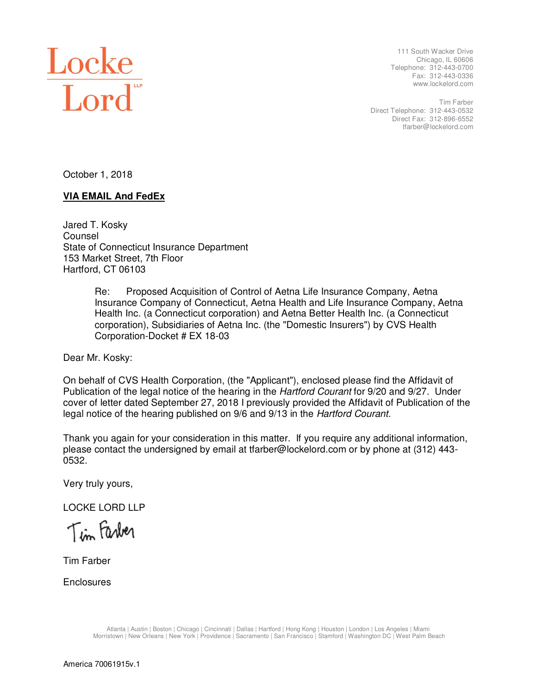

 111 South Wacker Drive Chicago, IL 60606 Telephone: 312-443-0700 Fax: 312-443-0336 www.lockelord.com

 Direct Telephone: 312-443-0532 Direct Fax: 312-896-6552 Tim Farber tfarber@lockelord.com

October 1, 2018

### **VIA EMAIL And FedEx**

 Jared T. Kosky State of Connecticut Insurance Department 153 Market Street, 7th Floor Hartford, CT 06103 Counsel

> Re: Proposed Acquisition of Control of Aetna Life Insurance Company, Aetna Insurance Company of Connecticut, Aetna Health and Life Insurance Company, Aetna Health Inc. (a Connecticut corporation) and Aetna Better Health Inc. (a Connecticut corporation), Subsidiaries of Aetna Inc. (the "Domestic Insurers") by CVS Health Corporation-Docket # EX 18-03

Dear Mr. Kosky:

 On behalf of CVS Health Corporation, (the "Applicant"), enclosed please find the Affidavit of Publication of the legal notice of the hearing in the Hartford Courant for 9/20 and 9/27. Under cover of letter dated September 27, 2018 I previously provided the Affidavit of Publication of the legal notice of the hearing published on 9/6 and 9/13 in the Hartford Courant.

 Thank you again for your consideration in this matter. If you require any additional information, please contact the undersigned by email at tfarber@lockelord.com or by phone at (312) 443- 0532.

Very truly yours,

LOCKE LORD LLP

Tim Farber

Tim Farber

**Enclosures**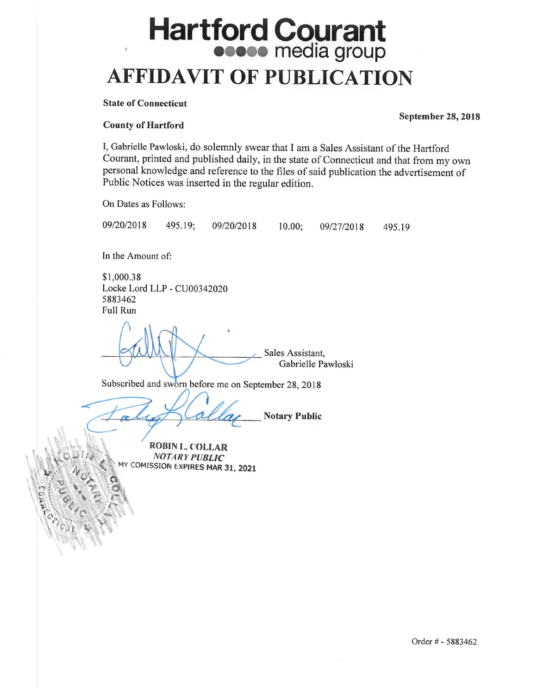# **Hartford Courant AFFIDAVIT OF PUBLICATION**

#### **State of Connecticut**

#### **County of Hartford**

I, Gabrielle Pawloski, do solemnly swear that I am a Sales Assistant of the Hartford Courant, printed and published daily, in the state of Connecticut and that from my own personal knowledge and reference to the files of said publication the advertisement of Public Notices was inserted in the regular edition.

On Dates as Follows:

495.19; 09/20/2018

 $10.00;$ 09/27/2018

495.19

In the Amount of:

\$1,000.38 Locke Lord LLP - CU00342020 5883462 **Full Run** 

Sales Assistant. Gabrielle Pawloski

Subscribed and sworn before me on September 28, 2018

09/20/2018

**Notary Public** 

ROBIN I. COLLAR **NOTARY PUBLIC** MY COMISSION EXPIRES MAR 31, 2021 **September 28, 2018**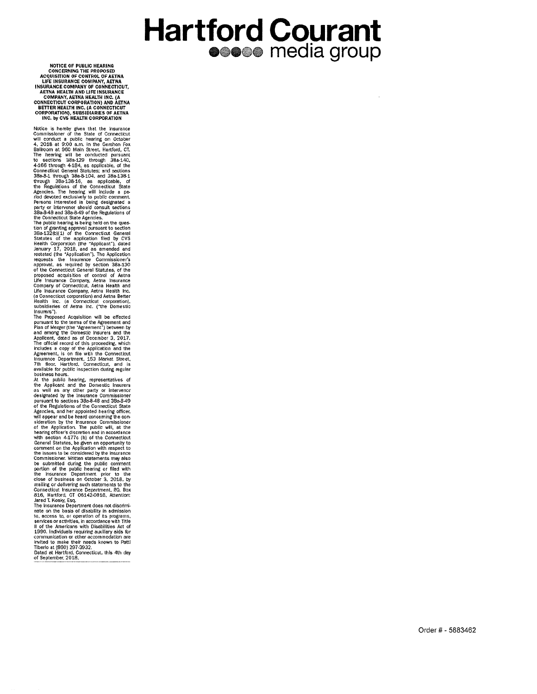## **Hartford Courant** esese media group

NOTICE OF PUBLIC HEARING<br>CONCERNING THE PROPOSED<br>ACQUISITION OF CONTROL OF AETNA<br>LIFE INSURANCE COMPANY, AETNA<br>INSURANCE COMPANY OF CONNECTICUT,<br>AETNA HEALIH AND LIFE INSURANCE<br>COMPANY, AETNA HEALTH INC. (A<br>CONNECTICUT COR

INC. by CVS HEALTH CORPORATION<br>
Notice is hereby given that the insurance<br>
Commissioner of the State of Connecticut<br>
will conduct a public hearing on October<br>
4. 2018 at 9:00 a.m. in the Gershon Fox<br>
Balluonn at 960 Main S

of the Connecticut General Statutes, of the Connection<br>proposed acquisition of control of Aetna<br>Life Insurance Company, Aetna Insurance<br>Company of Connecticut, Aetna Health and<br>Life Insurance Company, Aetna Health Inc.<br>(a Insurers").

substitutes of Aetha inc. (The Domestic<br>Insurers).<br>The Proposed Acquisition will be effected<br>planetars).<br>The Proposed Acquisition will be effected<br>and more than of Merger (the "Agreement") between by<br>and among the Domestic

protocol the Registrons 3 devember of the Connecticut State<br>of the Registrons of the Connecticut State<br>Agencies, and the rappointed hearing officer.<br>will appear and be heard concerning the con-<br>sideration by the Insurance

Connecticut Insurance Department, RO. Box<br>
816, Harlford, CT 06142-0816, Attention:<br>
Jared T. Kosky, Esq.<br>
The Insurance Department does not discimil-<br>
net in on the basis of disability in admission<br>
to, access to, or oper

Dated at Hartford, Connecticut, this 4th day<br>of September, 2018.